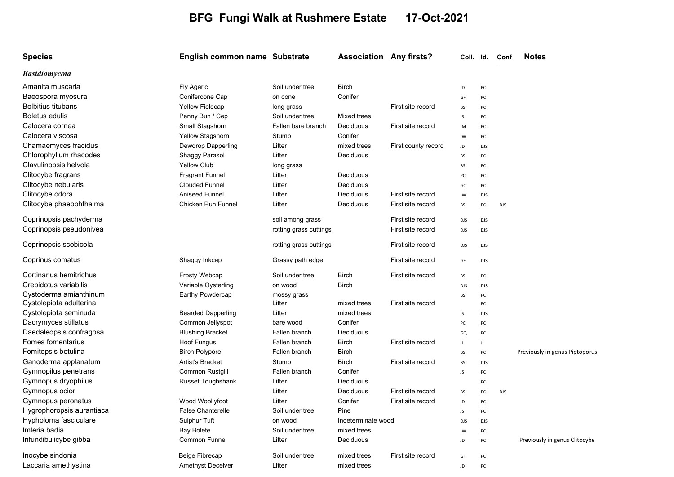## BFG Fungi Walk at Rushmere Estate 17-Oct-2021

| <b>Species</b>            | English common name Substrate |                        | <b>Association Any firsts?</b> |                     | Coll. Id.  |            | Conf       | <b>Notes</b>                   |
|---------------------------|-------------------------------|------------------------|--------------------------------|---------------------|------------|------------|------------|--------------------------------|
| <b>Basidiomycota</b>      |                               |                        |                                |                     |            |            |            |                                |
| Amanita muscaria          | Fly Agaric                    | Soil under tree        | <b>Birch</b>                   |                     | JD         | PC         |            |                                |
| Baeospora myosura         | Conifercone Cap               | on cone                | Conifer                        |                     | GF         | PC         |            |                                |
| <b>Bolbitius titubans</b> | <b>Yellow Fieldcap</b>        | long grass             |                                | First site record   | <b>BS</b>  | PC         |            |                                |
| <b>Boletus edulis</b>     | Penny Bun / Cep               | Soil under tree        | Mixed trees                    |                     | JS.        | PC         |            |                                |
| Calocera cornea           | Small Stagshorn               | Fallen bare branch     | Deciduous                      | First site record   | JM         | PC         |            |                                |
| Calocera viscosa          | Yellow Stagshorn              | Stump                  | Conifer                        |                     | JW         | PC         |            |                                |
| Chamaemyces fracidus      | Dewdrop Dapperling            | Litter                 | mixed trees                    | First county record | JD         | DJS        |            |                                |
| Chlorophyllum rhacodes    | Shaggy Parasol                | Litter                 | Deciduous                      |                     | <b>BS</b>  | PC         |            |                                |
| Clavulinopsis helvola     | <b>Yellow Club</b>            | long grass             |                                |                     | <b>BS</b>  | PC         |            |                                |
| Clitocybe fragrans        | <b>Fragrant Funnel</b>        | Litter                 | Deciduous                      |                     | PC         | PC         |            |                                |
| Clitocybe nebularis       | <b>Clouded Funnel</b>         | Litter                 | Deciduous                      |                     | GQ         | PC         |            |                                |
| Clitocybe odora           | <b>Aniseed Funnel</b>         | Litter                 | Deciduous                      | First site record   | JW         | DJS        |            |                                |
| Clitocybe phaeophthalma   | Chicken Run Funnel            | Litter                 | Deciduous                      | First site record   | <b>BS</b>  | PC         | <b>DJS</b> |                                |
| Coprinopsis pachyderma    |                               | soil among grass       |                                | First site record   | <b>DJS</b> | DJS        |            |                                |
| Coprinopsis pseudonivea   |                               | rotting grass cuttings |                                | First site record   | <b>DJS</b> | DJS        |            |                                |
| Coprinopsis scobicola     |                               | rotting grass cuttings |                                | First site record   | <b>DJS</b> | DJS        |            |                                |
| Coprinus comatus          | Shaggy Inkcap                 | Grassy path edge       |                                | First site record   | GF         | DJS        |            |                                |
| Cortinarius hemitrichus   | Frosty Webcap                 | Soil under tree        | <b>Birch</b>                   | First site record   | <b>BS</b>  | PC         |            |                                |
| Crepidotus variabilis     | Variable Oysterling           | on wood                | <b>Birch</b>                   |                     | <b>DJS</b> | DJS        |            |                                |
| Cystoderma amianthinum    | Earthy Powdercap              | mossy grass            |                                |                     | <b>BS</b>  | PC         |            |                                |
| Cystolepiota adulterina   |                               | Litter                 | mixed trees                    | First site record   |            | PC         |            |                                |
| Cystolepiota seminuda     | <b>Bearded Dapperling</b>     | Litter                 | mixed trees                    |                     | JS         | <b>DJS</b> |            |                                |
| Dacrymyces stillatus      | Common Jellyspot              | bare wood              | Conifer                        |                     | PC         | PC         |            |                                |
| Daedaleopsis confragosa   | <b>Blushing Bracket</b>       | Fallen branch          | Deciduous                      |                     | GQ         | PC         |            |                                |
| Fomes fomentarius         | Hoof Fungus                   | Fallen branch          | <b>Birch</b>                   | First site record   | JL         | JL         |            |                                |
| Fomitopsis betulina       | <b>Birch Polypore</b>         | Fallen branch          | <b>Birch</b>                   |                     | <b>BS</b>  | PC         |            | Previously in genus Piptoporus |
| Ganoderma applanatum      | Artist's Bracket              | Stump                  | <b>Birch</b>                   | First site record   | <b>BS</b>  | DJS        |            |                                |
| Gymnopilus penetrans      | Common Rustgill               | Fallen branch          | Conifer                        |                     | JS         | PC         |            |                                |
| Gymnopus dryophilus       | Russet Toughshank             | Litter                 | Deciduous                      |                     |            | PC         |            |                                |
| Gymnopus ocior            |                               | Litter                 | Deciduous                      | First site record   | <b>BS</b>  | PC         | <b>DJS</b> |                                |
| Gymnopus peronatus        | Wood Woollyfoot               | Litter                 | Conifer                        | First site record   | JD         | PC         |            |                                |
| Hygrophoropsis aurantiaca | <b>False Chanterelle</b>      | Soil under tree        | Pine                           |                     | JS         | PC         |            |                                |
| Hypholoma fasciculare     | Sulphur Tuft                  | on wood                | Indeterminate wood             |                     | <b>DJS</b> | DJS        |            |                                |
| Imleria badia             | <b>Bay Bolete</b>             | Soil under tree        | mixed trees                    |                     | JW         | PC         |            |                                |
| Infundibulicybe gibba     | Common Funnel                 | Litter                 | Deciduous                      |                     | JD         | PC         |            | Previously in genus Clitocybe  |
| Inocybe sindonia          | Beige Fibrecap                | Soil under tree        | mixed trees                    | First site record   | GF         | PC         |            |                                |
| Laccaria amethystina      | <b>Amethyst Deceiver</b>      | Litter                 | mixed trees                    |                     | JD         | PC         |            |                                |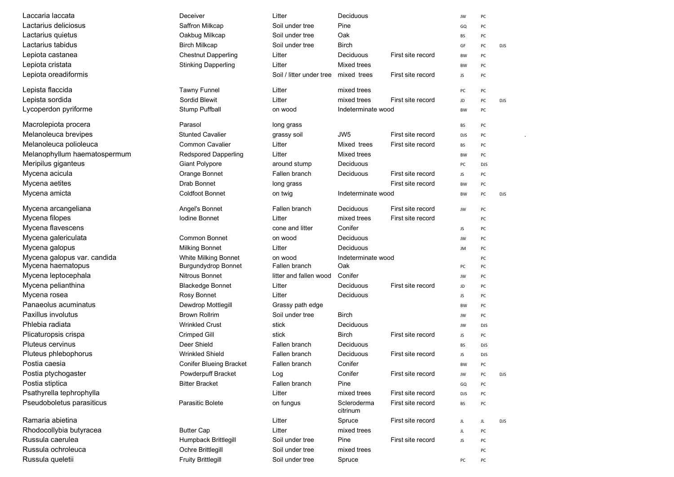| Laccaria laccata             | Deceiver                       | Litter                   | Deciduous               |                   | JW         | PC         |            |
|------------------------------|--------------------------------|--------------------------|-------------------------|-------------------|------------|------------|------------|
| Lactarius deliciosus         | Saffron Milkcap                | Soil under tree          | Pine                    |                   | GQ         | PC         |            |
| Lactarius quietus            | Oakbug Milkcap                 | Soil under tree          | Oak                     |                   | BS         | PC         |            |
| Lactarius tabidus            | <b>Birch Milkcap</b>           | Soil under tree          | Birch                   |                   | GF         | PC         | <b>DJS</b> |
| Lepiota castanea             | <b>Chestnut Dapperling</b>     | Litter                   | Deciduous               | First site record | BW         | PC         |            |
| Lepiota cristata             | <b>Stinking Dapperling</b>     | Litter                   | Mixed trees             |                   | <b>BW</b>  | PC         |            |
| Lepiota oreadiformis         |                                | Soil / litter under tree | mixed trees             | First site record | JS         | PC         |            |
|                              |                                |                          |                         |                   |            |            |            |
| Lepista flaccida             | <b>Tawny Funnel</b>            | Litter                   | mixed trees             |                   | PC         | PC         |            |
| Lepista sordida              | Sordid Blewit                  | Litter                   | mixed trees             | First site record | JD         | PC         | <b>DJS</b> |
| Lycoperdon pyriforme         | <b>Stump Puffball</b>          | on wood                  | Indeterminate wood      |                   | BW         | PC         |            |
| Macrolepiota procera         | Parasol                        | long grass               |                         |                   | BS         | PC         |            |
| Melanoleuca brevipes         | <b>Stunted Cavalier</b>        | grassy soil              | JW <sub>5</sub>         | First site record | <b>DJS</b> | PC         |            |
| Melanoleuca polioleuca       | <b>Common Cavalier</b>         | Litter                   | Mixed trees             | First site record | BS         | PC         |            |
| Melanophyllum haematospermum | <b>Redspored Dapperling</b>    | Litter                   | Mixed trees             |                   | BW         | PC         |            |
| Meripilus giganteus          | <b>Giant Polypore</b>          | around stump             | Deciduous               |                   | PC         | <b>DJS</b> |            |
| Mycena acicula               | Orange Bonnet                  | Fallen branch            | Deciduous               | First site record | JS         | PC         |            |
| Mycena aetites               | Drab Bonnet                    | long grass               |                         | First site record | BW         | PC         |            |
| Mycena amicta                | <b>Coldfoot Bonnet</b>         | on twig                  | Indeterminate wood      |                   | BW         | PC         | <b>DJS</b> |
|                              |                                |                          |                         |                   |            |            |            |
| Mycena arcangeliana          | Angel's Bonnet                 | Fallen branch            | Deciduous               | First site record | JW         | PC         |            |
| Mycena filopes               | Iodine Bonnet                  | Litter                   | mixed trees             | First site record |            | PC         |            |
| Mycena flavescens            |                                | cone and litter          | Conifer                 |                   | JS         | PC         |            |
| Mycena galericulata          | <b>Common Bonnet</b>           | on wood                  | Deciduous               |                   | JW         | PC         |            |
| Mycena galopus               | <b>Milking Bonnet</b>          | Litter                   | Deciduous               |                   | JM         | PC         |            |
| Mycena galopus var. candida  | White Milking Bonnet           | on wood                  | Indeterminate wood      |                   |            | PC         |            |
| Mycena haematopus            | <b>Burgundydrop Bonnet</b>     | Fallen branch            | Oak                     |                   | PC         | PC         |            |
| Mycena leptocephala          | Nitrous Bonnet                 | litter and fallen wood   | Conifer                 |                   | JW         | PC         |            |
| Mycena pelianthina           | <b>Blackedge Bonnet</b>        | Litter                   | Deciduous               | First site record | JD         | PC         |            |
| Mycena rosea                 | Rosy Bonnet                    | Litter                   | Deciduous               |                   | JS         | PC         |            |
| Panaeolus acuminatus         | Dewdrop Mottlegill             | Grassy path edge         |                         |                   | BW         | PC         |            |
| Paxillus involutus           | <b>Brown Rollrim</b>           | Soil under tree          | <b>Birch</b>            |                   | JW         | PC         |            |
| Phlebia radiata              | <b>Wrinkled Crust</b>          | stick                    | Deciduous               |                   | JW         | <b>DJS</b> |            |
| Plicaturopsis crispa         | Crimped Gill                   | stick                    | Birch                   | First site record | JS         | PC         |            |
| <b>Pluteus cervinus</b>      | Deer Shield                    | Fallen branch            | Deciduous               |                   | BS         | <b>DJS</b> |            |
| Pluteus phlebophorus         | <b>Wrinkled Shield</b>         | Fallen branch            | Deciduous               | First site record | JS         | <b>DJS</b> |            |
| Postia caesia                | <b>Conifer Blueing Bracket</b> | Fallen branch            | Conifer                 |                   | <b>BW</b>  | PC         |            |
| Postia ptychogaster          | Powderpuff Bracket             | Log                      | Conifer                 | First site record | JW         | PC         | DJS        |
| Postia stiptica              | <b>Bitter Bracket</b>          | Fallen branch            | Pine                    |                   | GQ         | PC         |            |
| Psathyrella tephrophylla     |                                | Litter                   | mixed trees             | First site record | <b>DJS</b> | PC         |            |
| Pseudoboletus parasiticus    | Parasitic Bolete               | on fungus                | Scleroderma<br>citrinum | First site record | BS         | PC         |            |
| Ramaria abietina             |                                | Litter                   | Spruce                  | First site record | JL         | JL         | <b>DJS</b> |
| Rhodocollybia butyracea      | <b>Butter Cap</b>              | Litter                   | mixed trees             |                   | JL         | PC         |            |
| Russula caerulea             | Humpback Brittlegill           | Soil under tree          | Pine                    | First site record | JS         | PC         |            |
| Russula ochroleuca           | Ochre Brittlegill              | Soil under tree          | mixed trees             |                   |            | PC         |            |
| Russula queletii             | <b>Fruity Brittlegill</b>      | Soil under tree          | Spruce                  |                   | PC         | PC         |            |
|                              |                                |                          |                         |                   |            |            |            |